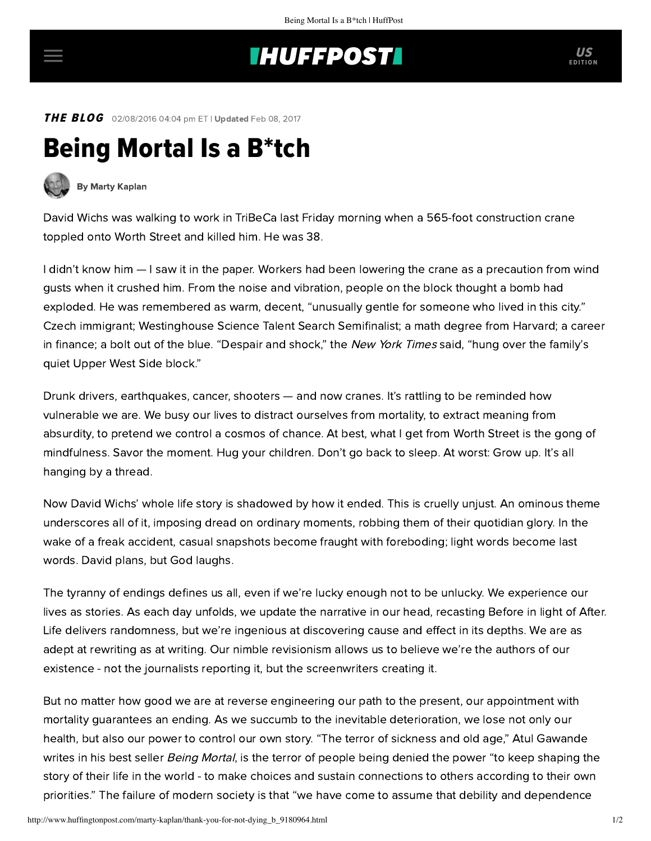## **INUFFPOSTI** US

THE BLOG 02/08/2016 04:04 pm ET | Updated Feb 08, 2017

## Being Mortal Is a B\*tch



[By Marty Kaplan](http://www.huffingtonpost.com/author/marty-kaplan)

David Wichs was walking to work in TriBeCa last Friday morning when a 565-foot construction crane toppled onto Worth Street and killed him. He was 38.

I didn't know him — I saw it in the paper. Workers had been lowering the crane as a precaution from wind gusts when it crushed him. From the noise and vibration, people on the block thought a bomb had exploded. He was remembered as warm, decent, "unusually gentle for someone who lived in this city." Czech immigrant; Westinghouse Science Talent Search Semifinalist; a math degree from Harvard; a career in finance; a bolt out of the blue. "Despair and shock," the New York Times [said](http://www.nytimes.com/2016/02/06/nyregion/immigrant-killed-in-manhattan-crane-collapse-recalled-as-decent-and-humble.html?_r=2), "hung over the family's quiet Upper West Side block."

Drunk drivers, earthquakes, cancer, shooters — and now cranes. It's rattling to be reminded how vulnerable we are. We busy our lives to distract ourselves from mortality, to extract meaning from absurdity, to pretend we control a cosmos of chance. At best, what I get from Worth Street is the gong of mindfulness. Savor the moment. Hug your children. Don't go back to sleep. At worst: Grow up. It's all hanging by a thread.

Now David Wichs' whole life story is shadowed by how it ended. This is cruelly unjust. An ominous theme underscores all of it, imposing dread on ordinary moments, robbing them of their quotidian glory. In the wake of a freak accident, casual snapshots become fraught with foreboding; light words become last words. David plans, but God laughs.

The tyranny of endings defines us all, even if we're lucky enough not to be unlucky. We experience our lives as stories. As each day unfolds, we update the narrative in our head, recasting Before in light of After. Life delivers randomness, but we're ingenious at discovering cause and effect in its depths. We are as adept at rewriting as at writing. Our nimble revisionism allows us to believe we're the authors of our existence - not the journalists reporting it, but the screenwriters creating it.

But no matter how good we are at reverse engineering our path to the present, our appointment with mortality guarantees an ending. As we succumb to the inevitable deterioration, we lose not only our health, but also our power to control our own story. "The terror of sickness and old age," Atul Gawande writes in his best seller [Being Mortal](http://atulgawande.com/book/being-mortal/), is the terror of people being denied the power "to keep shaping the story of their life in the world - to make choices and sustain connections to others according to their own priorities." The failure of modern society is that "we have come to assume that debility and dependence